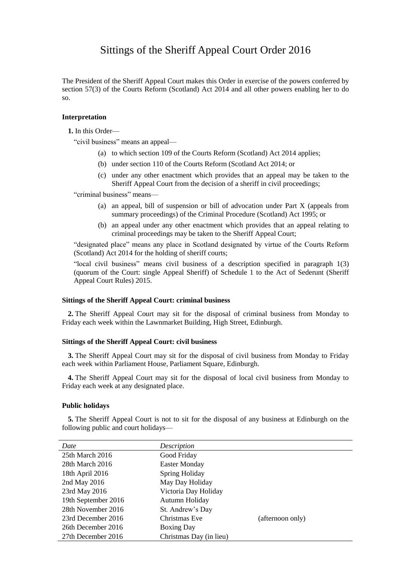# Sittings of the Sheriff Appeal Court Order 2016

The President of the Sheriff Appeal Court makes this Order in exercise of the powers conferred by section 57(3) of the Courts Reform (Scotland) Act 2014 and all other powers enabling her to do so.

## **Interpretation**

**1.** In this Order—

"civil business" means an appeal—

- (a) to which section 109 of the Courts Reform (Scotland) Act 2014 applies;
- (b) under section 110 of the Courts Reform (Scotland Act 2014; or
- (c) under any other enactment which provides that an appeal may be taken to the Sheriff Appeal Court from the decision of a sheriff in civil proceedings;

"criminal business" means—

- (a) an appeal, bill of suspension or bill of advocation under Part X (appeals from summary proceedings) of the Criminal Procedure (Scotland) Act 1995; or
- (b) an appeal under any other enactment which provides that an appeal relating to criminal proceedings may be taken to the Sheriff Appeal Court;

"designated place" means any place in Scotland designated by virtue of the Courts Reform (Scotland) Act 2014 for the holding of sheriff courts;

"local civil business" means civil business of a description specified in paragraph 1(3) (quorum of the Court: single Appeal Sheriff) of Schedule 1 to the Act of Sederunt (Sheriff Appeal Court Rules) 2015.

### **Sittings of the Sheriff Appeal Court: criminal business**

**2.** The Sheriff Appeal Court may sit for the disposal of criminal business from Monday to Friday each week within the Lawnmarket Building, High Street, Edinburgh.

### **Sittings of the Sheriff Appeal Court: civil business**

**3.** The Sheriff Appeal Court may sit for the disposal of civil business from Monday to Friday each week within Parliament House, Parliament Square, Edinburgh.

**4.** The Sheriff Appeal Court may sit for the disposal of local civil business from Monday to Friday each week at any designated place.

#### **Public holidays**

**5.** The Sheriff Appeal Court is not to sit for the disposal of any business at Edinburgh on the following public and court holidays—

| Date                | Description             |                  |
|---------------------|-------------------------|------------------|
| 25th March 2016     | Good Friday             |                  |
| 28th March 2016     | <b>Easter Monday</b>    |                  |
| 18th April 2016     | Spring Holiday          |                  |
| 2nd May 2016        | May Day Holiday         |                  |
| 23rd May 2016       | Victoria Day Holiday    |                  |
| 19th September 2016 | Autumn Holiday          |                  |
| 28th November 2016  | St. Andrew's Day        |                  |
| 23rd December 2016  | Christmas Eve           | (afternoon only) |
| 26th December 2016  | <b>Boxing Day</b>       |                  |
| 27th December 2016  | Christmas Day (in lieu) |                  |